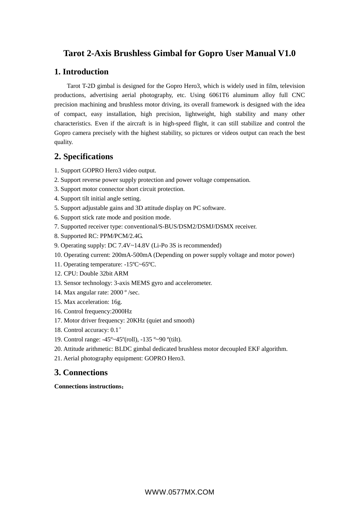# **Tarot 2-Axis Brushless Gimbal for Gopro User Manual V1.0**

## **1. Introduction**

Tarot T-2D gimbal is designed for the Gopro Hero3, which is widely used in film, television productions, advertising aerial photography, etc. Using 6061T6 aluminum alloy full CNC precision machining and brushless motor driving, its overall framework is designed with the idea of compact, easy installation, high precision, lightweight, high stability and many other characteristics. Even if the aircraft is in high-speed flight, it can still stabilize and control the Gopro camera precisely with the highest stability, so pictures or videos output can reach the best quality.

# **2. Specifications**

- 1. Support GOPRO Hero3 video output.
- 2. Support reverse power supply protection and power voltage compensation.
- 3. Support motor connector short circuit protection.
- 4. Support tilt initial angle setting.
- 5. Support adjustable gains and 3D attitude display on PC software.
- 6. Support stick rate mode and position mode.
- 7. Supported receiver type: conventional/S-BUS/DSM2/DSMJ/DSMX receiver.
- 8. Supported RC: PPM/PCM/2.4G.
- 9. Operating supply: DC 7.4V~14.8V (Li-Po 3S is recommended)
- 10. Operating current: 200mA-500mA (Depending on power supply voltage and motor power)
- 11. Operating temperature: -15ºC~65ºC.
- 12. CPU: Double 32bit ARM
- 13. Sensor technology: 3-axis MEMS gyro and accelerometer.
- 14. Max angular rate: 2000 º /sec.
- 15. Max acceleration: 16g.
- 16. Control frequency:2000Hz
- 17. Motor driver frequency: 20KHz (quiet and smooth)
- 18. Control accuracy: 0.1°
- 19. Control range: -45º~45º(roll), -135 º~90 º(tilt).
- 20. Attitude arithmetic: BLDC gimbal dedicated brushless motor decoupled EKF algorithm.
- 21. Aerial photography equipment: GOPRO Hero3.

# **3. Connections**

## **Connections instructions:**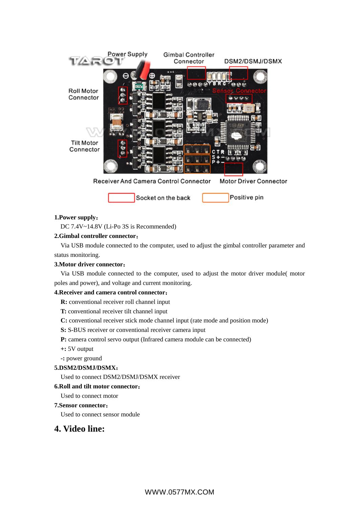

## **1.Power supply:**

DC 7.4V~14.8V (Li-Po 3S is Recommended)

## **2.Gimbal controller connector:**

Via USB module connected to the computer, used to adjust the gimbal controller parameter and status monitoring.

#### **3.Motor driver connector:**

Via USB module connected to the computer, used to adjust the motor driver module( motor poles and power), and voltage and current monitoring.

## **4.Receiver and camera control connector:**

**R:** conventional receiver roll channel input

**T:** conventional receiver tilt channel input

**C:** conventional receiver stick mode channel input (rate mode and position mode)

**S:** S-BUS receiver or conventional receiver camera input

**P:** camera control servo output (Infrared camera module can be connected)

**+:** 5V output

**-:** power ground

## **5.DSM2/DSMJ/DSMX:**

Used to connect DSM2/DSMJ/DSMX receiver

## **6.Roll and tilt motor connector:**

Used to connect motor

## **7.Sensor connector:**

Used to connect sensor module

# **4. Video line:**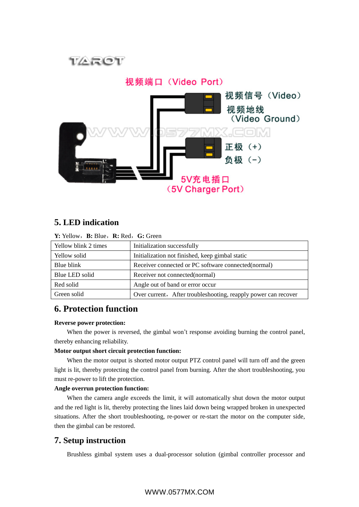

# **5. LED indication**

**Y:** Yellow,**B:** Blue,**R:** Red,**G:** Green

| Yellow blink 2 times | Initialization successfully                                    |  |
|----------------------|----------------------------------------------------------------|--|
| Yellow solid         | Initialization not finished, keep gimbal static                |  |
| Blue blink           | Receiver connected or PC software connected (normal)           |  |
| Blue LED solid       | Receiver not connected (normal)                                |  |
| Red solid            | Angle out of band or error occur                               |  |
| Green solid          | Over current, After troubleshooting, reapply power can recover |  |

# **6. Protection function**

### **Reverse power protection:**

When the power is reversed, the gimbal won't response avoiding burning the control panel, thereby enhancing reliability.

## **Motor output short circuit protection function:**

When the motor output is shorted motor output PTZ control panel will turn off and the green light is lit, thereby protecting the control panel from burning. After the short troubleshooting, you must re-power to lift the protection.

## **Angle overrun protection function:**

When the camera angle exceeds the limit, it will automatically shut down the motor output and the red light is lit, thereby protecting the lines laid down being wrapped broken in unexpected situations. After the short troubleshooting, re-power or re-start the motor on the computer side, then the gimbal can be restored.

## **7. Setup instruction**

Brushless gimbal system uses a dual-processor solution (gimbal controller processor and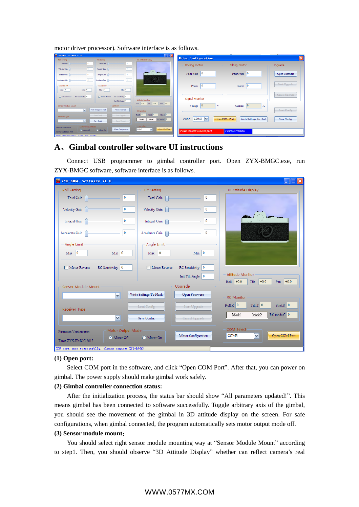motor driver processor). Software interface is as follows.

| <b>EXTR-BEGC Software VI.O.</b>                                        | E/K                                                            |                                 |                                          |                |
|------------------------------------------------------------------------|----------------------------------------------------------------|---------------------------------|------------------------------------------|----------------|
| <b>Roll Setting</b><br><b>Tilt Setting</b>                             | <b>3D Attitude Display</b>                                     | Motor Configuration             |                                          |                |
| $\bullet$<br>$\bullet$<br>Total Gain<br>Total Gain                     |                                                                | Rolling motor                   | Tilting motor                            | Upgrade        |
| $\bullet$<br>Velocity Gain<br>Velocity Gain<br>۰                       | $\sim$<br>$\bigcap$                                            |                                 |                                          |                |
| . 10<br>$\overline{\phantom{a}}$<br>Integral Gain<br>Integral Gain     |                                                                | 10<br>Polar Num                 | - 10<br>Polar Num                        | Open Firmware  |
| ١o<br>۰<br>Accelerate Gain<br>Accelerate Gain                          | zp:                                                            |                                 |                                          |                |
| Angle Limit<br>Angle Limit                                             |                                                                | ١o<br>Power                     | 10<br>Power                              | Start Upgrade  |
| $Mm$ 0<br>$Min$ 0<br>$Max = 0$<br>Max 0                                |                                                                |                                 |                                          |                |
| RC Sensitivity 0<br>Motor Reverse<br>RC Sensitivity 0<br>Motor Reverse | Attitude Monitor                                               | <b>Signal Monitor</b>           |                                          | Cancel Upgrade |
| Init Tilt Angle 0                                                      | Roll +0.0 Tilt +0.0 Pan +0.0                                   |                                 |                                          |                |
| Upgrade<br>Sensor Module Mount                                         |                                                                | $\overline{0}$<br>Voltage       | 10<br>Current<br>$\mathbf{A}$            |                |
| Write Settings To Flash<br>Open Firmware<br>$\overline{\phantom{a}}$   | <b>RC</b> Monitor                                              |                                 |                                          | Load Config    |
| Start-Upgrade<br>Load Confie<br>Receiver Type                          | $RoER$ 0<br>Shot:S 0<br>Tilt:T 0                               |                                 |                                          |                |
| $\mathbf{v}$<br>Cancel Upgrade<br>Save Config                          | $Model2$ RC mode C $0$<br>Mode1                                | COM3<br><b>NC</b><br><b>COM</b> | Write Settings To Flash<br>Open COM Port | Save Config    |
| Motor Output Mode<br>Firmware Version xxxx<br>Motor Configuration      | COM Select<br>$\overline{\mathbf{v}}$<br>Open COM Port<br>COM3 |                                 |                                          |                |
| O Motor On<br>O Motor Off<br>Tarot ZYX-BMGC 2013                       |                                                                | Please connect to motor port!   | Firmware Version:                        |                |

# **A、Gimbal controller software UI instructions**

Connect USB programmer to gimbal controller port. Open ZYX-BMGC.exe, run ZYX-BMGC software, software interface is as follows.

| ZYX-BMGC Software V1.0                               |                                                 |                                                |  |  |  |  |
|------------------------------------------------------|-------------------------------------------------|------------------------------------------------|--|--|--|--|
| Roll Setting                                         | <b>Tilt Setting</b>                             | 3D Attitude Display                            |  |  |  |  |
| 0<br>Total Gain                                      | $\mathbf 0$<br>Total Gain                       |                                                |  |  |  |  |
| Velocity Gain<br>0                                   | $\mathbf 0$<br>Velocity Gain                    |                                                |  |  |  |  |
| 0<br><b>Integral Gain</b>                            | $\bf{0}$<br>Integral Gain                       |                                                |  |  |  |  |
| 0<br>Accelerate Gain                                 | $\mathbf 0$<br>Accelerate Gain                  |                                                |  |  |  |  |
| Angle Limit                                          | Angle Limit                                     |                                                |  |  |  |  |
| $Min$ 0<br>10<br>Max                                 | $Min$ 0<br>$\overline{0}$<br>Max                |                                                |  |  |  |  |
| RC Sensitivity $\vert 0 \vert$<br>Motor Reverse      | RC Sensitivity $\vert 0 \vert$<br>Motor Reverse |                                                |  |  |  |  |
|                                                      | Init Tilt Angle 0                               | <b>Attitude Monitor</b>                        |  |  |  |  |
| Sensor Module Mount                                  | Upgrade                                         | $+0.0$<br>$Roll$ +0.0<br>$+0.0$<br>Tilt<br>Pan |  |  |  |  |
| $\blacktriangledown$                                 | Write Settings To Flash<br>Open Firmware        | <b>RC</b> Monitor                              |  |  |  |  |
| Receiver Type                                        | Load Config<br>Start Upgrade                    | $Shot: S$ 0<br>$Roll:R \vert 0$<br>$Tilt:T$ 0  |  |  |  |  |
| Y                                                    | Cancel Upgrade<br>Save Config                   | RC mode:C 0<br>Mode1<br>Mode2                  |  |  |  |  |
| Motor Output Mode<br>Firmware Version:xxxx           |                                                 | COM Select                                     |  |  |  |  |
| Motor Off<br>Tarot ZYX-BMGC 2013                     | Motor Configuration<br>O Motor On               | v<br>Open COM Port<br>COM3                     |  |  |  |  |
| COM port open successfully, please connect ZYX-BMGC! |                                                 |                                                |  |  |  |  |

## **(1) Open port:**

Select COM port in the software, and click "Open COM Port". After that, you can power on gimbal. The power supply should make gimbal work safely.

## **(2) Gimbal controller connection status:**

After the initialization process, the status bar should show "All parameters updated!". This means gimbal has been connected to software successfully. Toggle arbitrary axis of the gimbal, you should see the movement of the gimbal in 3D attitude display on the screen. For safe configurations, when gimbal connected, the program automatically sets motor output mode off.

## **(3) Sensor module mount:**

You should select right sensor module mounting way at "Sensor Module Mount" according to step1. Then, you should observe "3D Attitude Display" whether can reflect camera's real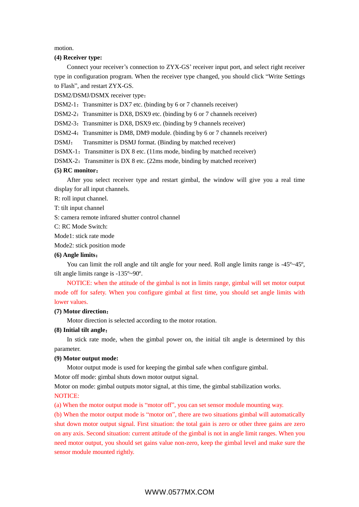motion.

## **(4) Receiver type:**

Connect your receiver's connection to ZYX-GS' receiver input port, and select right receiver type in configuration program. When the receiver type changed, you should click "Write Settings to Flash", and restart ZYX-GS.

DSM2/DSMJ/DSMX receiver type:

DSM2-1: Transmitter is DX7 etc. (binding by 6 or 7 channels receiver)

DSM2-2: Transmitter is DX8, DSX9 etc. (binding by 6 or 7 channels receiver)

DSM2-3: Transmitter is DX8, DSX9 etc. (binding by 9 channels receiver)

DSM2-4: Transmitter is DM8, DM9 module. (binding by 6 or 7 channels receiver)

DSMJ: Transmitter is DSMJ format. (Binding by matched receiver)

DSMX-1: Transmitter is DX 8 etc. (11ms mode, binding by matched receiver)

DSMX-2: Transmitter is DX 8 etc. (22ms mode, binding by matched receiver)

#### **(5) RC monitor:**

After you select receiver type and restart gimbal, the window will give you a real time display for all input channels.

R: roll input channel.

T: tilt input channel

S: camera remote infrared shutter control channel

C: RC Mode Switch:

Mode1: stick rate mode

Mode2: stick position mode

#### **(6) Angle limits:**

You can limit the roll angle and tilt angle for your need. Roll angle limits range is -45°–45°, tilt angle limits range is -135º~90º.

NOTICE: when the attitude of the gimbal is not in limits range, gimbal will set motor output mode off for safety. When you configure gimbal at first time, you should set angle limits with lower values.

#### **(7) Motor direction:**

Motor direction is selected according to the motor rotation.

## **(8) Initial tilt angle:**

In stick rate mode, when the gimbal power on, the initial tilt angle is determined by this parameter.

## **(9) Motor output mode:**

Motor output mode is used for keeping the gimbal safe when configure gimbal.

Motor off mode: gimbal shuts down motor output signal.

Motor on mode: gimbal outputs motor signal, at this time, the gimbal stabilization works. NOTICE:

(a) When the motor output mode is "motor off", you can set sensor module mounting way.

(b) When the motor output mode is "motor on", there are two situations gimbal will automatically shut down motor output signal. First situation: the total gain is zero or other three gains are zero on any axis. Second situation: current attitude of the gimbal is not in angle limit ranges. When you need motor output, you should set gains value non-zero, keep the gimbal level and make sure the sensor module mounted rightly.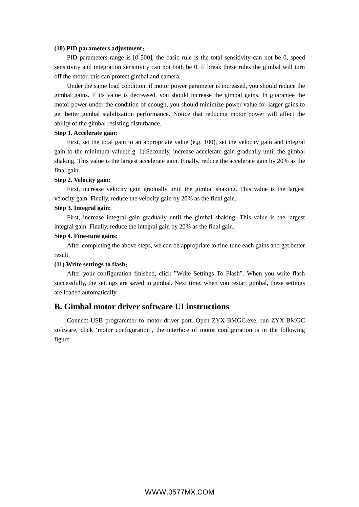#### **(10) PID parameters adjustment:**

PID parameters range is [0-500], the basic rule is the total sensitivity can not be 0, speed sensitivity and integration sensitivity can not both be 0. If break these rules the gimbal will turn off the motor, this can protect gimbal and camera.

Under the same load condition, if motor power parameter is increased, you should reduce the gimbal gains. If its value is decreased, you should increase the gimbal gains. In guarantee the motor power under the condition of enough, you should minimize power value for larger gains to get better gimbal stabilization performance. Notice that reducing motor power will affect the ability of the gimbal resisting disturbance.

#### **Step 1. Accelerate gain:**

First, set the total gain to an appropriate value (e.g. 100), set the velocity gain and integral gain to the minimum value(e.g. 1).Secondly, increase accelerate gain gradually until the gimbal shaking. This value is the largest accelerate gain. Finally, reduce the accelerate gain by 20% as the final gain.

#### **Step 2. Velocity gain:**

First, increase velocity gain gradually until the gimbal shaking. This value is the largest velocity gain. Finally, reduce the velocity gain by 20% as the final gain.

## **Step 3. Integral gain:**

First, increase integral gain gradually until the gimbal shaking. This value is the largest integral gain. Finally, reduce the integral gain by 20% as the final gain.

## **Step 4. Fine-tune gains:**

After completing the above steps, we can be appropriate to fine-tune each gains and get better result.

### **(11) Write settings to flash:**

After your configuration finished, click "Write Settings To Flash". When you write flash successfully, the settings are saved in gimbal. Next time, when you restart gimbal, these settings are loaded automatically.

## **B. Gimbal motor driver software UI instructions**

Connect USB programmer to motor driver port. Open ZYX-BMGC.exe; run ZYX-BMGC software, click 'motor configuration', the interface of motor configuration is in the following figure.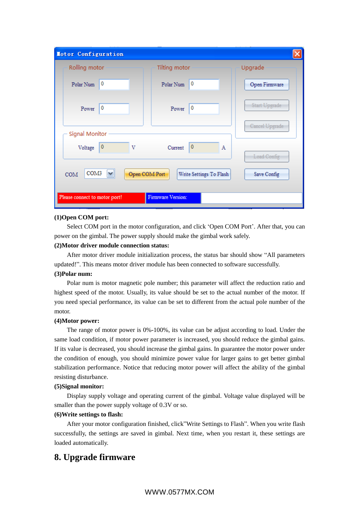| Motor Configuration                                                         |                                   |                |  |  |  |
|-----------------------------------------------------------------------------|-----------------------------------|----------------|--|--|--|
| Rolling motor                                                               | Tilting motor                     | Upgrade        |  |  |  |
| $\bf{0}$<br>Polar Num                                                       | 0<br>Polar Num                    | Open Firmware  |  |  |  |
| 0<br>Power                                                                  | 0<br>Power                        | Start Upgrade  |  |  |  |
| Signal Monitor                                                              |                                   | Cancel Upgrade |  |  |  |
| $\vert 0 \vert$<br>Voltage                                                  | $\mathbf{0}$<br>v<br>Current<br>Α | Load Config    |  |  |  |
| COM3<br>w<br>Open COM Port<br>COM<br>Write Settings To Flash<br>Save Config |                                   |                |  |  |  |
| Please connect to motor port!                                               | Firmware Version:                 |                |  |  |  |

### **(1)Open COM port:**

Select COM port in the motor configuration, and click 'Open COM Port'. After that, you can power on the gimbal. The power supply should make the gimbal work safely.

## **(2)Motor driver module connection status:**

After motor driver module initialization process, the status bar should show "All parameters updated!". This means motor driver module has been connected to software successfully.

### **(3)Polar num:**

Polar num is motor magnetic pole number; this parameter will affect the reduction ratio and highest speed of the motor. Usually, its value should be set to the actual number of the motor. If you need special performance, its value can be set to different from the actual pole number of the motor.

#### **(4)Motor power:**

The range of motor power is 0%-100%, its value can be adjust according to load. Under the same load condition, if motor power parameter is increased, you should reduce the gimbal gains. If its value is decreased, you should increase the gimbal gains. In guarantee the motor power under the condition of enough, you should minimize power value for larger gains to get better gimbal stabilization performance. Notice that reducing motor power will affect the ability of the gimbal resisting disturbance.

### **(5)Signal monitor:**

Display supply voltage and operating current of the gimbal. Voltage value displayed will be smaller than the power supply voltage of 0.3V or so.

## **(6)Write settings to flash:**

After your motor configuration finished, click"Write Settings to Flash". When you write flash successfully, the settings are saved in gimbal. Next time, when you restart it, these settings are loaded automatically.

# **8. Upgrade firmware**